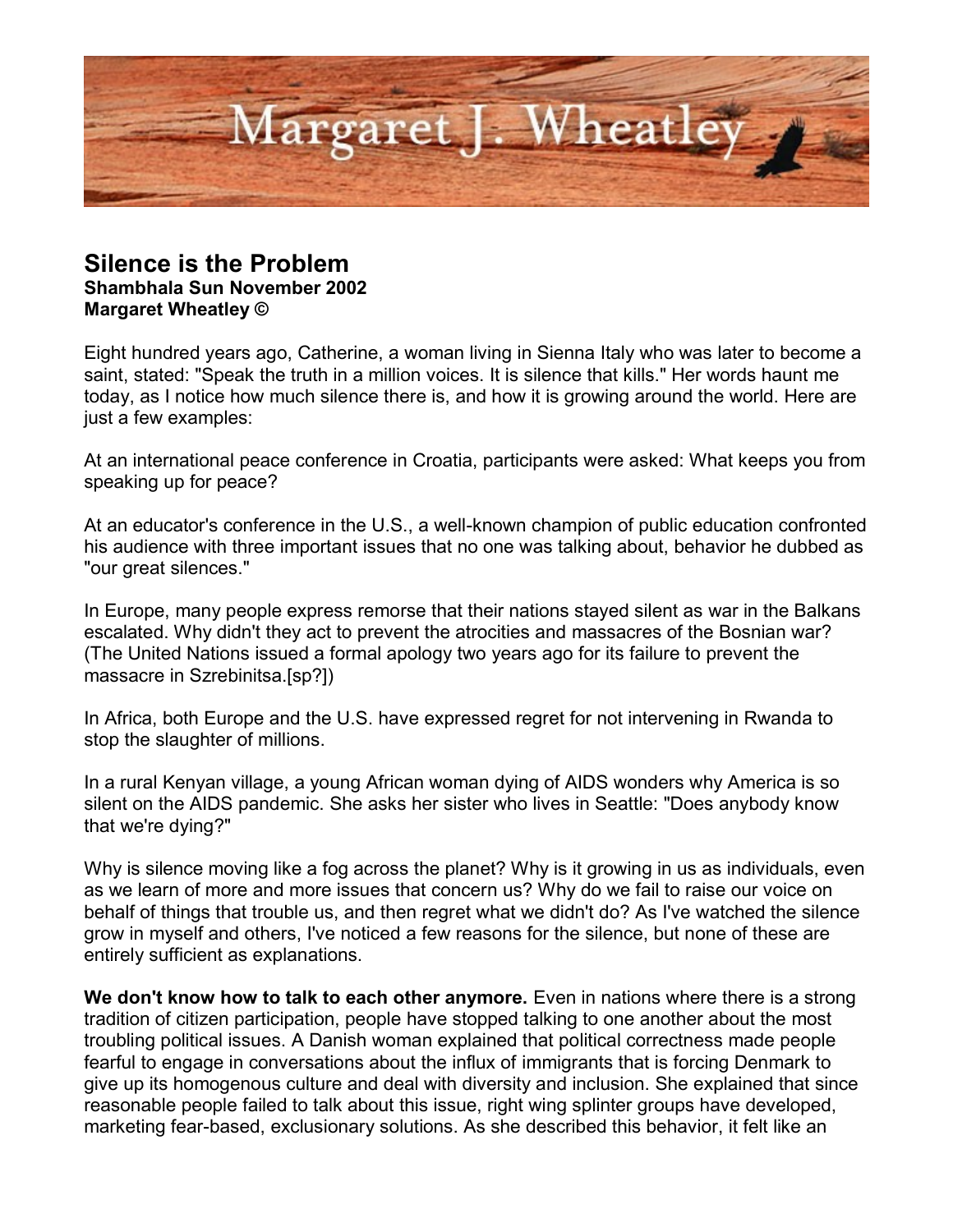

## **Silence is the Problem Shambhala Sun November 2002 Margaret Wheatley ©**

Eight hundred years ago, Catherine, a woman living in Sienna Italy who was later to become a saint, stated: "Speak the truth in a million voices. It is silence that kills." Her words haunt me today, as I notice how much silence there is, and how it is growing around the world. Here are just a few examples:

At an international peace conference in Croatia, participants were asked: What keeps you from speaking up for peace?

At an educator's conference in the U.S., a well-known champion of public education confronted his audience with three important issues that no one was talking about, behavior he dubbed as "our great silences."

In Europe, many people express remorse that their nations stayed silent as war in the Balkans escalated. Why didn't they act to prevent the atrocities and massacres of the Bosnian war? (The United Nations issued a formal apology two years ago for its failure to prevent the massacre in Szrebinitsa.[sp?])

In Africa, both Europe and the U.S. have expressed regret for not intervening in Rwanda to stop the slaughter of millions.

In a rural Kenyan village, a young African woman dying of AIDS wonders why America is so silent on the AIDS pandemic. She asks her sister who lives in Seattle: "Does anybody know that we're dying?"

Why is silence moving like a fog across the planet? Why is it growing in us as individuals, even as we learn of more and more issues that concern us? Why do we fail to raise our voice on behalf of things that trouble us, and then regret what we didn't do? As I've watched the silence grow in myself and others, I've noticed a few reasons for the silence, but none of these are entirely sufficient as explanations.

**We don't know how to talk to each other anymore.** Even in nations where there is a strong tradition of citizen participation, people have stopped talking to one another about the most troubling political issues. A Danish woman explained that political correctness made people fearful to engage in conversations about the influx of immigrants that is forcing Denmark to give up its homogenous culture and deal with diversity and inclusion. She explained that since reasonable people failed to talk about this issue, right wing splinter groups have developed, marketing fear-based, exclusionary solutions. As she described this behavior, it felt like an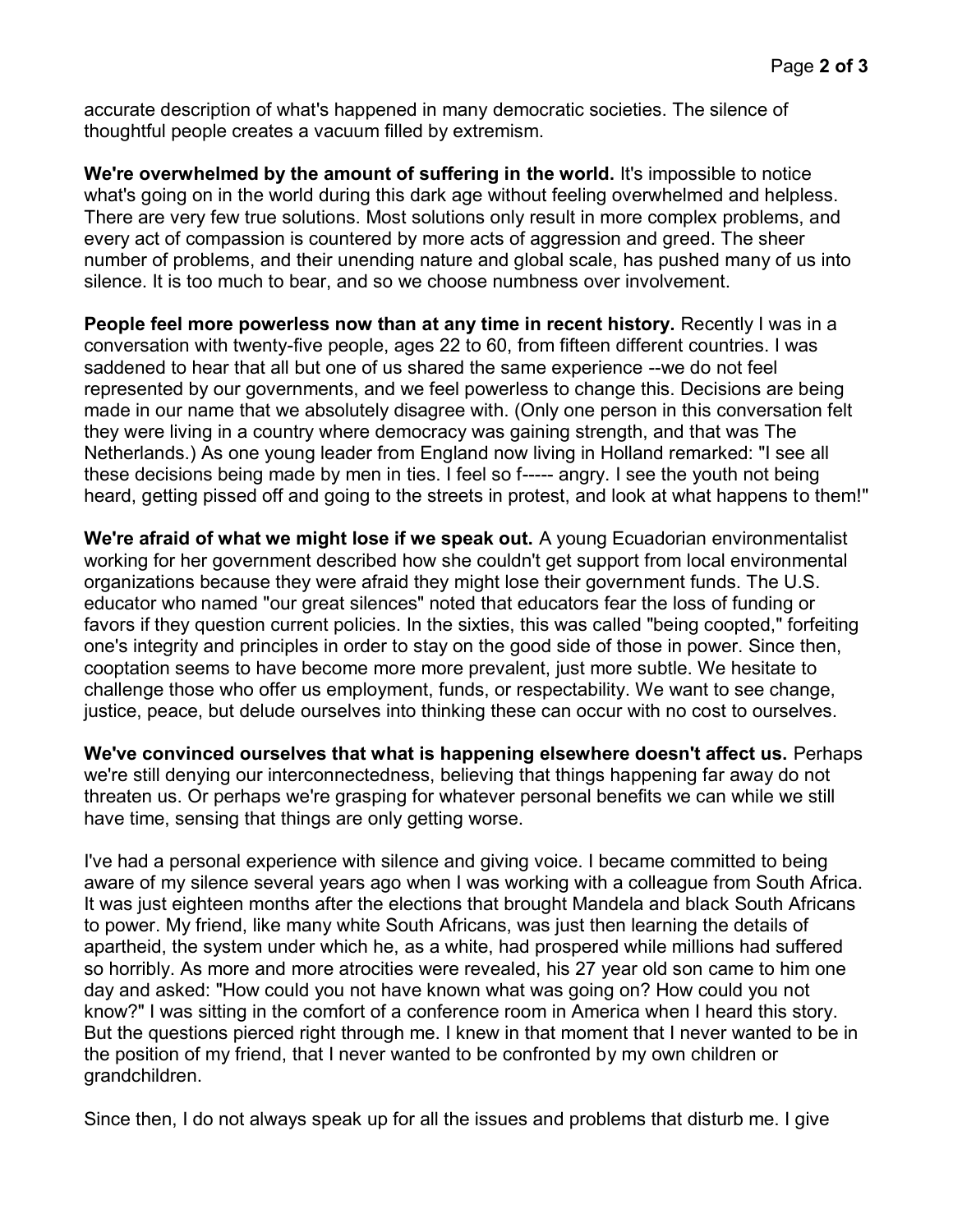accurate description of what's happened in many democratic societies. The silence of thoughtful people creates a vacuum filled by extremism.

**We're overwhelmed by the amount of suffering in the world.** It's impossible to notice what's going on in the world during this dark age without feeling overwhelmed and helpless. There are very few true solutions. Most solutions only result in more complex problems, and every act of compassion is countered by more acts of aggression and greed. The sheer number of problems, and their unending nature and global scale, has pushed many of us into silence. It is too much to bear, and so we choose numbness over involvement.

People feel more powerless now than at any time in recent history. Recently I was in a conversation with twenty-five people, ages 22 to 60, from fifteen different countries. I was saddened to hear that all but one of us shared the same experience --we do not feel represented by our governments, and we feel powerless to change this. Decisions are being made in our name that we absolutely disagree with. (Only one person in this conversation felt they were living in a country where democracy was gaining strength, and that was The Netherlands.) As one young leader from England now living in Holland remarked: "I see all these decisions being made by men in ties. I feel so f----- angry. I see the youth not being heard, getting pissed off and going to the streets in protest, and look at what happens to them!"

**We're afraid of what we might lose if we speak out.** A young Ecuadorian environmentalist working for her government described how she couldn't get support from local environmental organizations because they were afraid they might lose their government funds. The U.S. educator who named "our great silences" noted that educators fear the loss of funding or favors if they question current policies. In the sixties, this was called "being coopted," forfeiting one's integrity and principles in order to stay on the good side of those in power. Since then, cooptation seems to have become more more prevalent, just more subtle. We hesitate to challenge those who offer us employment, funds, or respectability. We want to see change, justice, peace, but delude ourselves into thinking these can occur with no cost to ourselves.

**We've convinced ourselves that what is happening elsewhere doesn't affect us.** Perhaps we're still denying our interconnectedness, believing that things happening far away do not threaten us. Or perhaps we're grasping for whatever personal benefits we can while we still have time, sensing that things are only getting worse.

I've had a personal experience with silence and giving voice. I became committed to being aware of my silence several years ago when I was working with a colleague from South Africa. It was just eighteen months after the elections that brought Mandela and black South Africans to power. My friend, like many white South Africans, was just then learning the details of apartheid, the system under which he, as a white, had prospered while millions had suffered so horribly. As more and more atrocities were revealed, his 27 year old son came to him one day and asked: "How could you not have known what was going on? How could you not know?" I was sitting in the comfort of a conference room in America when I heard this story. But the questions pierced right through me. I knew in that moment that I never wanted to be in the position of my friend, that I never wanted to be confronted by my own children or grandchildren.

Since then, I do not always speak up for all the issues and problems that disturb me. I give